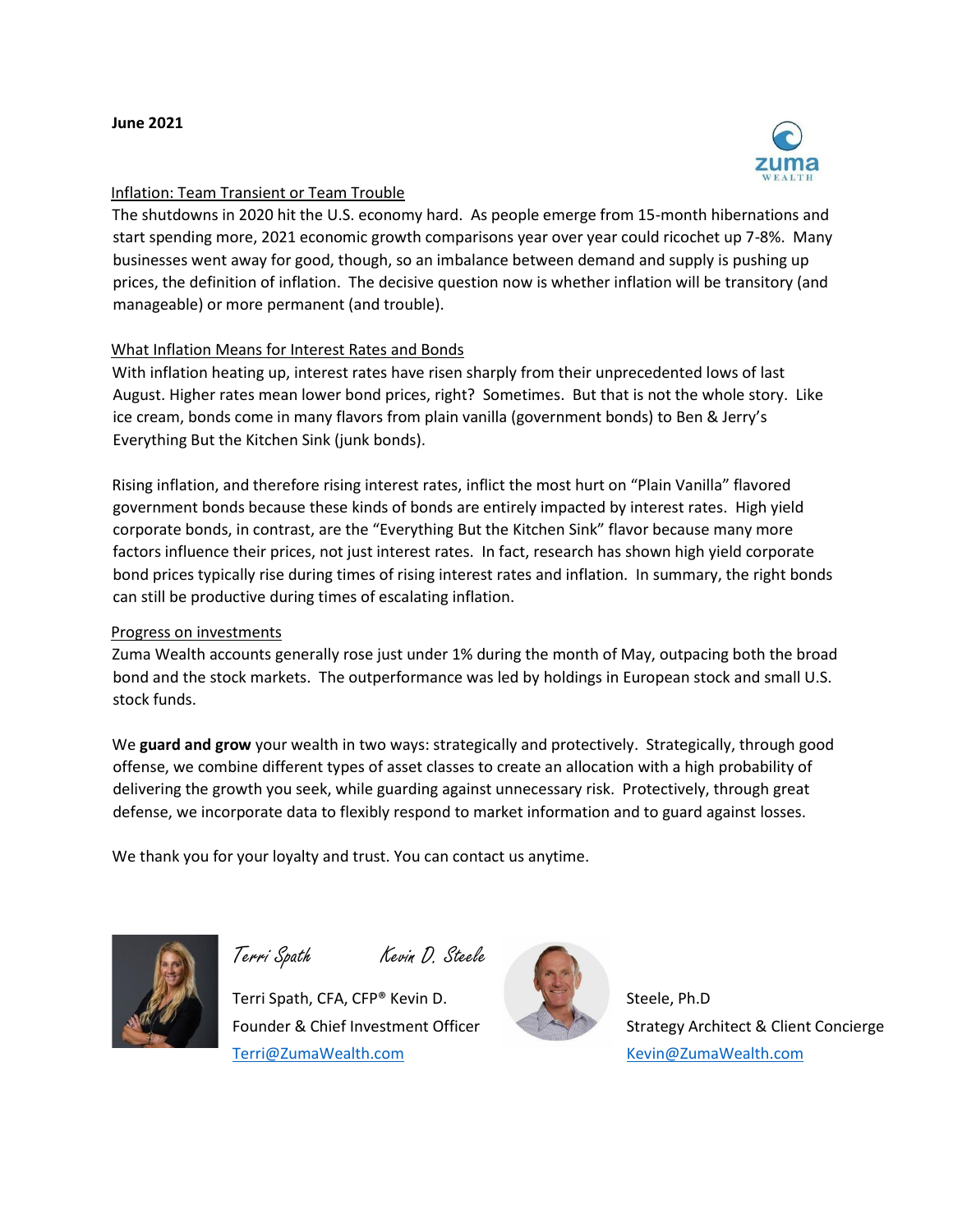

## Inflation: Team Transient or Team Trouble

The shutdowns in 2020 hit the U.S. economy hard. As people emerge from 15-month hibernations and start spending more, 2021 economic growth comparisons year over year could ricochet up 7-8%. Many businesses went away for good, though, so an imbalance between demand and supply is pushing up prices, the definition of inflation. The decisive question now is whether inflation will be transitory (and manageable) or more permanent (and trouble).

## What Inflation Means for Interest Rates and Bonds

With inflation heating up, interest rates have risen sharply from their unprecedented lows of last August. Higher rates mean lower bond prices, right? Sometimes. But that is not the whole story. Like ice cream, bonds come in many flavors from plain vanilla (government bonds) to Ben & Jerry's Everything But the Kitchen Sink (junk bonds).

Rising inflation, and therefore rising interest rates, inflict the most hurt on "Plain Vanilla" flavored government bonds because these kinds of bonds are entirely impacted by interest rates. High yield corporate bonds, in contrast, are the "Everything But the Kitchen Sink" flavor because many more factors influence their prices, not just interest rates. In fact, research has shown high yield corporate bond prices typically rise during times of rising interest rates and inflation. In summary, the right bonds can still be productive during times of escalating inflation.

## Progress on investments

Zuma Wealth accounts generally rose just under 1% during the month of May, outpacing both the broad bond and the stock markets. The outperformance was led by holdings in European stock and small U.S. stock funds.

We **guard and grow** your wealth in two ways: strategically and protectively. Strategically, through good offense, we combine different types of asset classes to create an allocation with a high probability of delivering the growth you seek, while guarding against unnecessary risk. Protectively, through great defense, we incorporate data to flexibly respond to market information and to guard against losses.

We thank you for your loyalty and trust. You can contact us anytime.



Terri Spath Kevin D. Steele

Terri Spath, CFA, CFP® Kevin D. Steele, Ph.D Terri@ZumaWealth.com Kevin@ZumaWealth.com



Founder & Chief Investment Officer Strategy Architect & Client Concierge